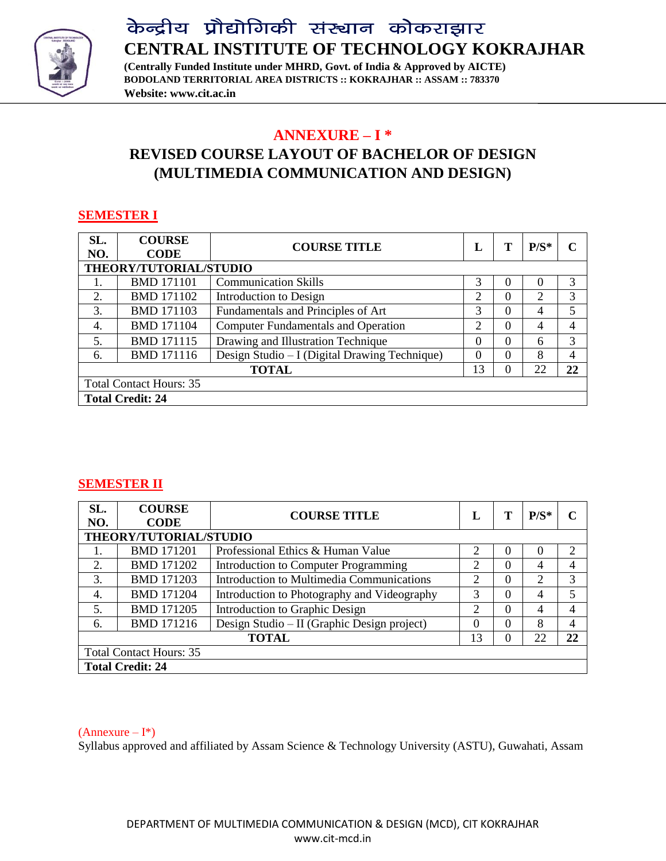

**(Centrally Funded Institute under MHRD, Govt. of India & Approved by AICTE) BODOLAND TERRITORIAL AREA DISTRICTS :: KOKRAJHAR :: ASSAM :: 783370 Website: www.cit.ac.in**

### **ANNEXURE – I \* REVISED COURSE LAYOUT OF BACHELOR OF DESIGN (MULTIMEDIA COMMUNICATION AND DESIGN)**

#### **SEMESTER I**

| SL.<br>NO.                     | <b>COURSE</b><br><b>CODE</b> | <b>COURSE TITLE</b>                           | L        |   | $P/S^*$        | C  |
|--------------------------------|------------------------------|-----------------------------------------------|----------|---|----------------|----|
|                                | THEORY/TUTORIAL/STUDIO       |                                               |          |   |                |    |
| 1.                             | <b>BMD 171101</b>            | <b>Communication Skills</b>                   | 3        | 0 | $\Omega$       | 3  |
| 2.                             | <b>BMD 171102</b>            | Introduction to Design                        | 2        | 0 | 2              | 3  |
| 3.                             | <b>BMD 171103</b>            | Fundamentals and Principles of Art            | 3        | 0 | $\overline{4}$ | 5  |
| 4.                             | <b>BMD 171104</b>            | <b>Computer Fundamentals and Operation</b>    | 2        | 0 | 4              | 4  |
| 5.                             | <b>BMD 171115</b>            | Drawing and Illustration Technique            | $\theta$ | 0 | 6              | 3  |
| 6.                             | <b>BMD</b> 171116            | Design Studio – I (Digital Drawing Technique) | $\left($ | 0 | 8              | 4  |
|                                |                              | <b>TOTAL</b>                                  | 13       | 0 | 22             | 22 |
| <b>Total Contact Hours: 35</b> |                              |                                               |          |   |                |    |
|                                | <b>Total Credit: 24</b>      |                                               |          |   |                |    |

#### **SEMESTER II**

| SL.<br>NO.                     | <b>COURSE</b><br><b>CODE</b> | <b>COURSE TITLE</b>                         | L              |   | $P/S^*$        | C              |
|--------------------------------|------------------------------|---------------------------------------------|----------------|---|----------------|----------------|
|                                | THEORY/TUTORIAL/STUDIO       |                                             |                |   |                |                |
|                                | <b>BMD 171201</b>            | Professional Ethics & Human Value           | 2              | 0 | $\theta$       | $\overline{2}$ |
| 2.                             | <b>BMD 171202</b>            | Introduction to Computer Programming        | 2              | 0 | 4              | 4              |
| 3.                             | <b>BMD 171203</b>            | Introduction to Multimedia Communications   | 2              | 0 | 2              | 3              |
| 4.                             | <b>BMD 171204</b>            | Introduction to Photography and Videography | 3              | 0 | $\overline{4}$ | 5              |
| 5.                             | <b>BMD 171205</b>            | Introduction to Graphic Design              | $\overline{2}$ | 0 | 4              | 4              |
| 6.                             | <b>BMD</b> 171216            | Design Studio – II (Graphic Design project) | $\Omega$       | 0 | 8              | 4              |
|                                |                              | <b>TOTAL</b>                                | 13             | 0 | 22             | 22             |
| <b>Total Contact Hours: 35</b> |                              |                                             |                |   |                |                |
|                                | <b>Total Credit: 24</b>      |                                             |                |   |                |                |

#### $(Annexure - I^*)$

Syllabus approved and affiliated by Assam Science & Technology University (ASTU), Guwahati, Assam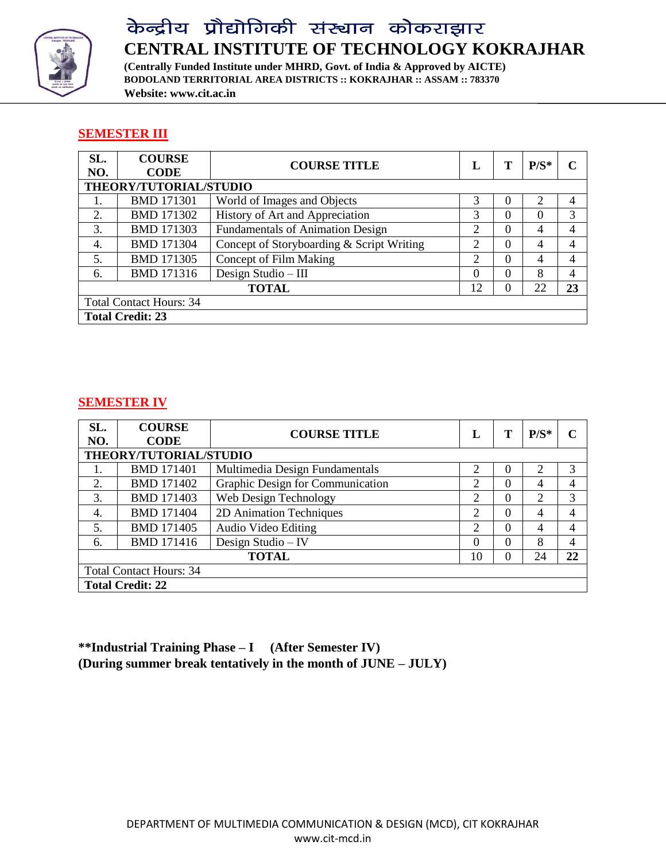

**(Centrally Funded Institute under MHRD, Govt. of India & Approved by AICTE) BODOLAND TERRITORIAL AREA DISTRICTS :: KOKRAJHAR :: ASSAM :: 783370 Website: www.cit.ac.in**

#### **SEMESTER III**

| SL.                            | <b>COURSE</b>           | <b>COURSE TITLE</b>                       | L                           |   | $P/S^*$        |                |
|--------------------------------|-------------------------|-------------------------------------------|-----------------------------|---|----------------|----------------|
| NO.                            | <b>CODE</b>             |                                           |                             |   |                |                |
|                                | THEORY/TUTORIAL/STUDIO  |                                           |                             |   |                |                |
| 1.                             | <b>BMD 171301</b>       | World of Images and Objects               | 3                           | 0 | 2              | 4              |
| 2.                             | <b>BMD 171302</b>       | History of Art and Appreciation           | 3                           | 0 | $\Omega$       | 3              |
| 3.                             | <b>BMD 171303</b>       | <b>Fundamentals of Animation Design</b>   | 2                           | 0 | $\overline{4}$ | 4              |
| 4.                             | <b>BMD 171304</b>       | Concept of Storyboarding & Script Writing | $\mathcal{D}_{\mathcal{L}}$ | 0 | $\overline{4}$ | $\overline{4}$ |
| 5.                             | <b>BMD 171305</b>       | Concept of Film Making                    | $\overline{2}$              | 0 | $\overline{4}$ | 4              |
| 6.                             | <b>BMD 171316</b>       | Design Studio - III                       | $\Omega$                    | 0 | 8              | 4              |
| 22<br><b>TOTAL</b><br>12<br>0  |                         |                                           |                             |   |                | 23             |
| <b>Total Contact Hours: 34</b> |                         |                                           |                             |   |                |                |
|                                | <b>Total Credit: 23</b> |                                           |                             |   |                |                |

#### **SEMESTER IV**

| SL.<br>NO.                     | <b>COURSE</b><br><b>CODE</b> | <b>COURSE TITLE</b>              | L              |          | $P/S^*$        |    |
|--------------------------------|------------------------------|----------------------------------|----------------|----------|----------------|----|
|                                | THEORY/TUTORIAL/STUDIO       |                                  |                |          |                |    |
|                                | <b>BMD 171401</b>            | Multimedia Design Fundamentals   | 2              | 0        | 2              | 3  |
| 2.                             | <b>BMD 171402</b>            | Graphic Design for Communication | 2              | 0        | $\overline{4}$ | 4  |
| 3.                             | <b>BMD 171403</b>            | Web Design Technology            | 2              | 0        | 2              | 3  |
| 4.                             | <b>BMD 171404</b>            | 2D Animation Techniques          | 2              | 0        | $\overline{4}$ | 4  |
| 5.                             | <b>BMD 171405</b>            | Audio Video Editing              | $\overline{2}$ | 0        | $\overline{4}$ | 4  |
| 6.                             | <b>BMD 171416</b>            | Design Studio - IV               | $\Omega$       | $\theta$ | 8              | 4  |
| <b>TOTAL</b><br>24<br>10       |                              |                                  |                |          |                | 22 |
| <b>Total Contact Hours: 34</b> |                              |                                  |                |          |                |    |
|                                | <b>Total Credit: 22</b>      |                                  |                |          |                |    |

**\*\*Industrial Training Phase – I (After Semester IV) (During summer break tentatively in the month of JUNE – JULY)**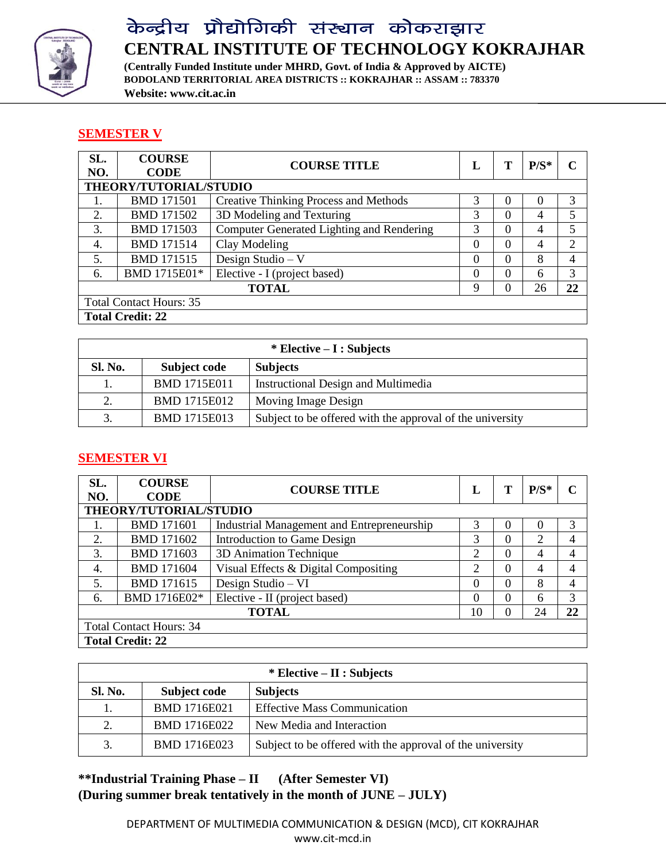

**(Centrally Funded Institute under MHRD, Govt. of India & Approved by AICTE) BODOLAND TERRITORIAL AREA DISTRICTS :: KOKRAJHAR :: ASSAM :: 783370 Website: www.cit.ac.in**

### **SEMESTER V**

| SL.<br>NO.                     | <b>COURSE</b><br><b>CODE</b> | <b>COURSE TITLE</b>                              | L        |   | $P/S^*$        |    |
|--------------------------------|------------------------------|--------------------------------------------------|----------|---|----------------|----|
|                                | THEORY/TUTORIAL/STUDIO       |                                                  |          |   |                |    |
|                                | <b>BMD 171501</b>            | <b>Creative Thinking Process and Methods</b>     | 3        | 0 | $\Omega$       | 3  |
| 2.                             | <b>BMD 171502</b>            | 3D Modeling and Texturing                        | 3        | 0 | $\overline{4}$ | 5  |
| 3.                             | <b>BMD 171503</b>            | <b>Computer Generated Lighting and Rendering</b> | 3        | 0 | $\overline{4}$ | 5  |
| 4.                             | <b>BMD 171514</b>            | Clay Modeling                                    | $\Omega$ | 0 | $\overline{4}$ | っ  |
| .5.                            | <b>BMD 171515</b>            | Design Studio $- V$                              | $\Omega$ | 0 | 8              | 4  |
| 6.                             | BMD 1715E01*                 | Elective - I (project based)                     | $\Omega$ | 0 | 6              | 3  |
|                                |                              | <b>TOTAL</b>                                     | 9        |   | 26             | 22 |
| <b>Total Contact Hours: 35</b> |                              |                                                  |          |   |                |    |
|                                | <b>Total Credit: 22</b>      |                                                  |          |   |                |    |

| $*$ Elective – I : Subjects |                     |                                                           |  |  |  |
|-----------------------------|---------------------|-----------------------------------------------------------|--|--|--|
| <b>Sl. No.</b>              | Subject code        | <b>Subjects</b>                                           |  |  |  |
|                             | <b>BMD 1715E011</b> | Instructional Design and Multimedia                       |  |  |  |
| 2.                          | <b>BMD 1715E012</b> | Moving Image Design                                       |  |  |  |
|                             | <b>BMD 1715E013</b> | Subject to be offered with the approval of the university |  |  |  |

### **SEMESTER VI**

| SL.<br>NO.                     | <b>COURSE</b><br><b>CODE</b> | <b>COURSE TITLE</b>                        | L              |   | $P/S^*$        |    |  |
|--------------------------------|------------------------------|--------------------------------------------|----------------|---|----------------|----|--|
|                                | THEORY/TUTORIAL/STUDIO       |                                            |                |   |                |    |  |
|                                | <b>BMD 171601</b>            | Industrial Management and Entrepreneurship | 3              | 0 | $\Omega$       | 3  |  |
| 2.                             | <b>BMD 171602</b>            | Introduction to Game Design                | 3              | 0 | 2              | 4  |  |
| 3.                             | <b>BMD 171603</b>            | 3D Animation Technique                     | 2              | 0 | $\overline{4}$ | 4  |  |
| 4.                             | <b>BMD 171604</b>            | Visual Effects & Digital Compositing       | $\overline{2}$ | 0 | $\overline{4}$ | 4  |  |
| 5.                             | <b>BMD 171615</b>            | Design Studio - VI                         | $\Omega$       | 0 | 8              | 4  |  |
| 6.                             | BMD 1716E02*                 | Elective - II (project based)              | $\Omega$       | 0 | 6              | 3  |  |
|                                |                              | <b>TOTAL</b>                               | 10             |   | 24             | 22 |  |
| <b>Total Contact Hours: 34</b> |                              |                                            |                |   |                |    |  |
|                                | <b>Total Credit: 22</b>      |                                            |                |   |                |    |  |

| $*$ Elective – II : Subjects |                     |                                                           |  |  |  |
|------------------------------|---------------------|-----------------------------------------------------------|--|--|--|
| <b>Sl. No.</b>               | Subject code        | <b>Subjects</b>                                           |  |  |  |
|                              | BMD 1716E021        | <b>Effective Mass Communication</b>                       |  |  |  |
| 2.                           | <b>BMD 1716E022</b> | New Media and Interaction                                 |  |  |  |
| 3.                           | <b>BMD 1716E023</b> | Subject to be offered with the approval of the university |  |  |  |

**\*\*Industrial Training Phase – II (After Semester VI) (During summer break tentatively in the month of JUNE – JULY)**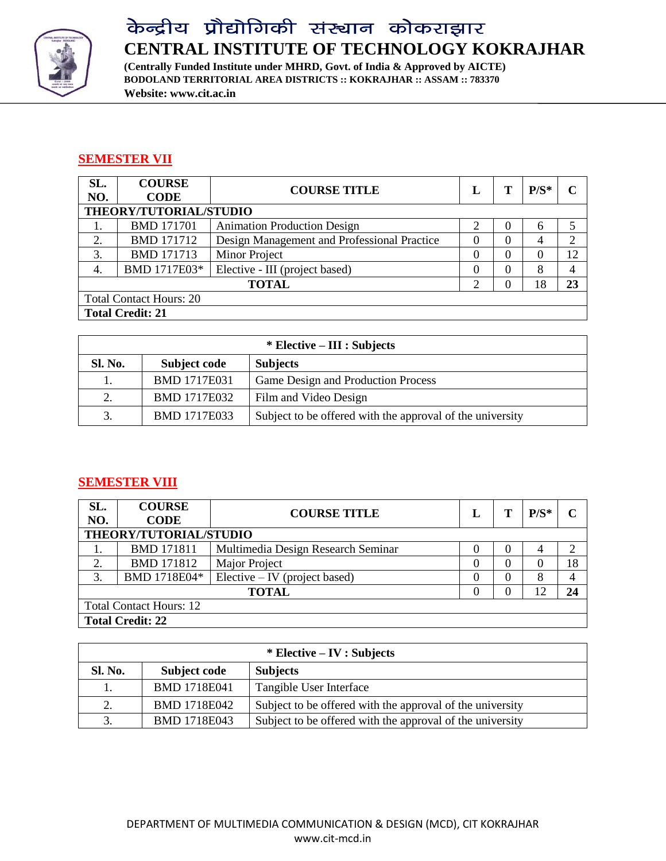

**(Centrally Funded Institute under MHRD, Govt. of India & Approved by AICTE) BODOLAND TERRITORIAL AREA DISTRICTS :: KOKRAJHAR :: ASSAM :: 783370 Website: www.cit.ac.in**

### **SEMESTER VII**

| SL.<br>NO.                     | <b>COURSE</b><br><b>CODE</b> | <b>COURSE TITLE</b>                         | L        |  | $P/S^*$ |        |  |
|--------------------------------|------------------------------|---------------------------------------------|----------|--|---------|--------|--|
|                                | THEORY/TUTORIAL/STUDIO       |                                             |          |  |         |        |  |
|                                | <b>BMD 171701</b>            | <b>Animation Production Design</b>          | ⌒        |  | 6       | $\sim$ |  |
| 2.                             | <b>BMD 171712</b>            | Design Management and Professional Practice |          |  | 4       |        |  |
| 3.                             | <b>BMD 171713</b>            | Minor Project                               | $\theta$ |  |         | 12     |  |
| 4.                             | BMD 1717E03*                 | Elective - III (project based)              | 0        |  | 8       |        |  |
| 18<br><b>TOTAL</b><br>23<br>∍  |                              |                                             |          |  |         |        |  |
| <b>Total Contact Hours: 20</b> |                              |                                             |          |  |         |        |  |
|                                | <b>Total Credit: 21</b>      |                                             |          |  |         |        |  |

|                | $*$ Elective – III : Subjects |                                                           |  |  |  |  |  |
|----------------|-------------------------------|-----------------------------------------------------------|--|--|--|--|--|
| <b>Sl. No.</b> | Subject code                  | <b>Subjects</b>                                           |  |  |  |  |  |
|                | <b>BMD 1717E031</b>           | Game Design and Production Process                        |  |  |  |  |  |
| 2.             | <b>BMD 1717E032</b>           | Film and Video Design                                     |  |  |  |  |  |
| 3.             | <b>BMD 1717E033</b>           | Subject to be offered with the approval of the university |  |  |  |  |  |

### **SEMESTER VIII**

| SL.<br>NO.                     | <b>COURSE</b><br><b>CODE</b>  | <b>COURSE TITLE</b>                |          |  | $P/S^*$ |    |  |  |  |
|--------------------------------|-------------------------------|------------------------------------|----------|--|---------|----|--|--|--|
|                                | THEORY/TUTORIAL/STUDIO        |                                    |          |  |         |    |  |  |  |
|                                | <b>BMD 171811</b>             | Multimedia Design Research Seminar | 0        |  | 4       |    |  |  |  |
| ↑                              | <b>BMD 171812</b>             | Major Project                      | $\theta$ |  |         | 18 |  |  |  |
| 3.                             | BMD 1718E04*                  | $Electric - IV$ (project based)    | $\theta$ |  | 8       |    |  |  |  |
|                                | <b>TOTAL</b><br>12<br>24<br>0 |                                    |          |  |         |    |  |  |  |
| <b>Total Contact Hours: 12</b> |                               |                                    |          |  |         |    |  |  |  |
|                                | <b>Total Credit: 22</b>       |                                    |          |  |         |    |  |  |  |

| $*$ Elective – IV : Subjects |                     |                                                           |  |  |  |
|------------------------------|---------------------|-----------------------------------------------------------|--|--|--|
| <b>Sl. No.</b>               | Subject code        | <b>Subjects</b>                                           |  |  |  |
|                              | <b>BMD 1718E041</b> | Tangible User Interface                                   |  |  |  |
| 2.                           | <b>BMD 1718E042</b> | Subject to be offered with the approval of the university |  |  |  |
| 3.                           | BMD 1718E043        | Subject to be offered with the approval of the university |  |  |  |